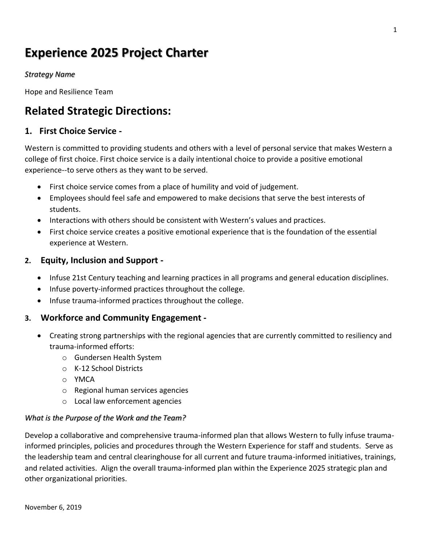# **Experience 2025 Project Charter**

## *Strategy Name*

Hope and Resilience Team

## **Related Strategic Directions:**

## **1. First Choice Service -**

Western is committed to providing students and others with a level of personal service that makes Western a college of first choice. First choice service is a daily intentional choice to provide a positive emotional experience--to serve others as they want to be served.

- First choice service comes from a place of humility and void of judgement.
- Employees should feel safe and empowered to make decisions that serve the best interests of students.
- Interactions with others should be consistent with Western's values and practices.
- First choice service creates a positive emotional experience that is the foundation of the essential experience at Western.

## **2. Equity, Inclusion and Support -**

- Infuse 21st Century teaching and learning practices in all programs and general education disciplines.
- Infuse poverty-informed practices throughout the college.
- Infuse trauma-informed practices throughout the college.

## **3. Workforce and Community Engagement -**

- Creating strong partnerships with the regional agencies that are currently committed to resiliency and trauma-informed efforts:
	- o Gundersen Health System
	- o K-12 School Districts
	- o YMCA
	- o Regional human services agencies
	- o Local law enforcement agencies

#### *What is the Purpose of the Work and the Team?*

Develop a collaborative and comprehensive trauma-informed plan that allows Western to fully infuse traumainformed principles, policies and procedures through the Western Experience for staff and students. Serve as the leadership team and central clearinghouse for all current and future trauma-informed initiatives, trainings, and related activities. Align the overall trauma-informed plan within the Experience 2025 strategic plan and other organizational priorities.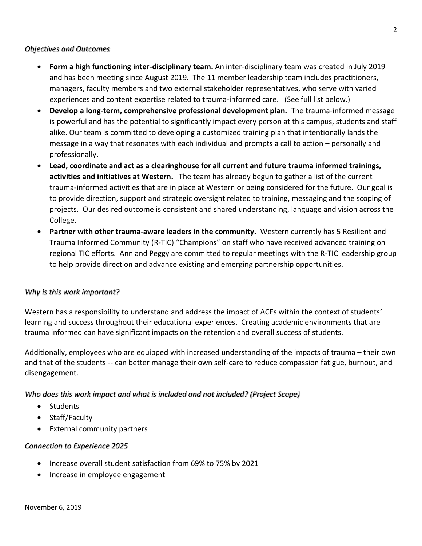#### *Objectives and Outcomes*

- **Form a high functioning inter-disciplinary team.** An inter-disciplinary team was created in July 2019 and has been meeting since August 2019. The 11 member leadership team includes practitioners, managers, faculty members and two external stakeholder representatives, who serve with varied experiences and content expertise related to trauma-informed care. (See full list below.)
- **Develop a long-term, comprehensive professional development plan.** The trauma-informed message is powerful and has the potential to significantly impact every person at this campus, students and staff alike. Our team is committed to developing a customized training plan that intentionally lands the message in a way that resonates with each individual and prompts a call to action – personally and professionally.
- **Lead, coordinate and act as a clearinghouse for all current and future trauma informed trainings, activities and initiatives at Western.** The team has already begun to gather a list of the current trauma-informed activities that are in place at Western or being considered for the future. Our goal is to provide direction, support and strategic oversight related to training, messaging and the scoping of projects. Our desired outcome is consistent and shared understanding, language and vision across the College.
- **Partner with other trauma-aware leaders in the community.** Western currently has 5 Resilient and Trauma Informed Community (R-TIC) "Champions" on staff who have received advanced training on regional TIC efforts. Ann and Peggy are committed to regular meetings with the R-TIC leadership group to help provide direction and advance existing and emerging partnership opportunities.

#### *Why is this work important?*

Western has a responsibility to understand and address the impact of ACEs within the context of students' learning and success throughout their educational experiences. Creating academic environments that are trauma informed can have significant impacts on the retention and overall success of students.

Additionally, employees who are equipped with increased understanding of the impacts of trauma – their own and that of the students -- can better manage their own self-care to reduce compassion fatigue, burnout, and disengagement.

## *Who does this work impact and what is included and not included? (Project Scope)*

- Students
- Staff/Faculty
- External community partners

#### *Connection to Experience 2025*

- Increase overall student satisfaction from 69% to 75% by 2021
- Increase in employee engagement